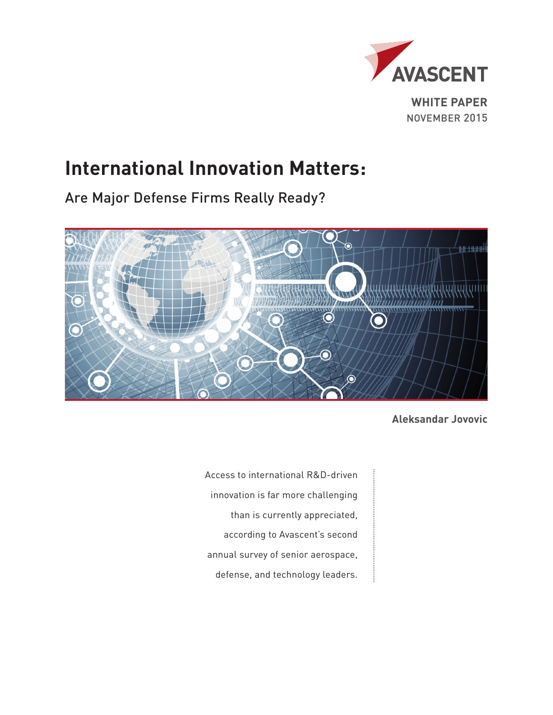

# **International Innovation Matters:**

Are Major Defense Firms Really Ready?



**Aleksandar Jovovic**

Access to international R&D-driven innovation is far more challenging than is currently appreciated, according to Avascent's second annual survey of senior aerospace, defense, and technology leaders.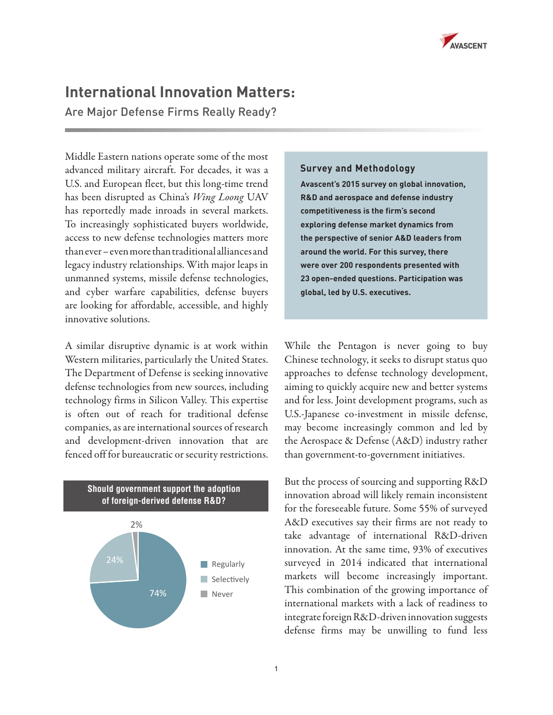

# **International Innovation Matters:**

Are Major Defense Firms Really Ready?

Middle Eastern nations operate some of the most advanced military aircraft. For decades, it was a U.S. and European fleet, but this long-time trend has been disrupted as China's *Wing Loong* UAV has reportedly made inroads in several markets. To increasingly sophisticated buyers worldwide, access to new defense technologies matters more than ever – even more than traditional alliances and legacy industry relationships. With major leaps in unmanned systems, missile defense technologies, and cyber warfare capabilities, defense buyers are looking for affordable, accessible, and highly innovative solutions.

A similar disruptive dynamic is at work within Western militaries, particularly the United States. The Department of Defense is seeking innovative defense technologies from new sources, including technology firms in Silicon Valley. This expertise is often out of reach for traditional defense companies, as are international sources of research and development-driven innovation that are fenced off for bureaucratic or security restrictions.



**Survey and Methodology**

**Avascent's 2015 survey on global innovation, R&D and aerospace and defense industry competitiveness is the firm's second exploring defense market dynamics from the perspective of senior A&D leaders from around the world. For this survey, there were over 200 respondents presented with 23 open-ended questions. Participation was global, led by U.S. executives.**

While the Pentagon is never going to buy Chinese technology, it seeks to disrupt status quo approaches to defense technology development, aiming to quickly acquire new and better systems and for less. Joint development programs, such as U.S.-Japanese co-investment in missile defense, may become increasingly common and led by the Aerospace & Defense (A&D) industry rather than government-to-government initiatives.

But the process of sourcing and supporting R&D innovation abroad will likely remain inconsistent for the foreseeable future. Some 55% of surveyed A&D executives say their firms are not ready to take advantage of international R&D-driven innovation. At the same time, 93% of executives surveyed in 2014 indicated that international markets will become increasingly important. This combination of the growing importance of international markets with a lack of readiness to integrate foreign R&D-driven innovation suggests defense firms may be unwilling to fund less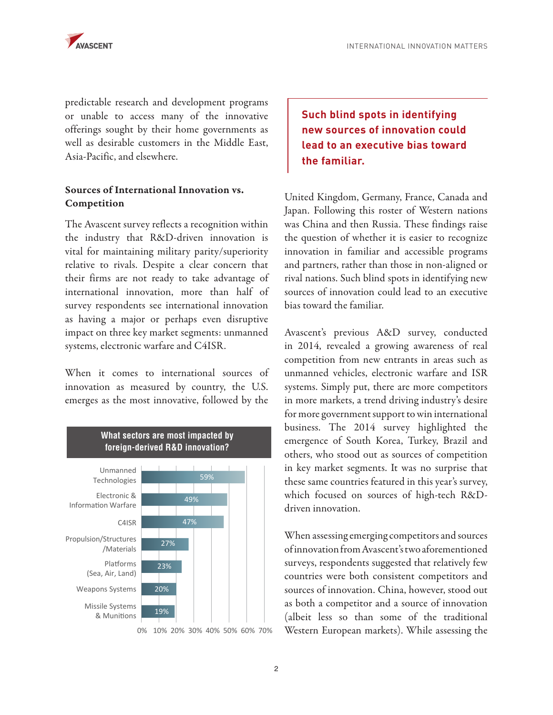

predictable research and development programs or unable to access many of the innovative offerings sought by their home governments as well as desirable customers in the Middle East, Asia-Pacific, and elsewhere.

## Sources of International Innovation vs. Competition

The Avascent survey reflects a recognition within the industry that R&D-driven innovation is vital for maintaining military parity/superiority relative to rivals. Despite a clear concern that their firms are not ready to take advantage of international innovation, more than half of survey respondents see international innovation as having a major or perhaps even disruptive impact on three key market segments: unmanned systems, electronic warfare and C4ISR.

When it comes to international sources of innovation as measured by country, the U.S. emerges as the most innovative, followed by the



# **Such blind spots in identifying new sources of innovation could lead to an executive bias toward the familiar.**

United Kingdom, Germany, France, Canada and Japan. Following this roster of Western nations was China and then Russia. These findings raise the question of whether it is easier to recognize innovation in familiar and accessible programs and partners, rather than those in non-aligned or rival nations. Such blind spots in identifying new sources of innovation could lead to an executive bias toward the familiar.

Avascent's previous A&D survey, conducted in 2014, revealed a growing awareness of real competition from new entrants in areas such as unmanned vehicles, electronic warfare and ISR systems. Simply put, there are more competitors in more markets, a trend driving industry's desire for more government support to win international business. The 2014 survey highlighted the emergence of South Korea, Turkey, Brazil and others, who stood out as sources of competition in key market segments. It was no surprise that these same countries featured in this year's survey, which focused on sources of high-tech R&Ddriven innovation.

When assessing emerging competitors and sources of innovation from Avascent's two aforementioned surveys, respondents suggested that relatively few countries were both consistent competitors and sources of innovation. China, however, stood out as both a competitor and a source of innovation (albeit less so than some of the traditional Western European markets). While assessing the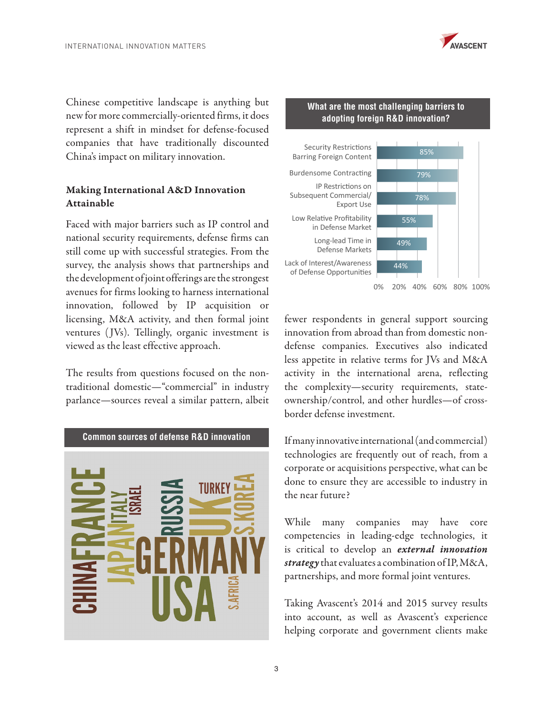

Chinese competitive landscape is anything but new for more commercially-oriented firms, it does represent a shift in mindset for defense-focused companies that have traditionally discounted China's impact on military innovation.

## Making International A&D Innovation Attainable

Faced with major barriers such as IP control and national security requirements, defense firms can still come up with successful strategies. From the survey, the analysis shows that partnerships and the development of joint offerings are the strongest avenues for firms looking to harness international innovation, followed by IP acquisition or licensing, M&A activity, and then formal joint ventures (JVs). Tellingly, organic investment is viewed as the least effective approach.

The results from questions focused on the nontraditional domestic—"commercial" in industry parlance—sources reveal a similar pattern, albeit



#### **What are the most challenging barriers to adopting foreign R&D innovation?**



fewer respondents in general support sourcing innovation from abroad than from domestic nondefense companies. Executives also indicated less appetite in relative terms for JVs and M&A activity in the international arena, reflecting the complexity—security requirements, stateownership/control, and other hurdles—of crossborder defense investment.

If many innovative international (and commercial) technologies are frequently out of reach, from a corporate or acquisitions perspective, what can be done to ensure they are accessible to industry in the near future?

While many companies may have core competencies in leading-edge technologies, it is critical to develop an *external innovation strategy* that evaluates a combination of IP, M&A, partnerships, and more formal joint ventures.

Taking Avascent's 2014 and 2015 survey results into account, as well as Avascent's experience helping corporate and government clients make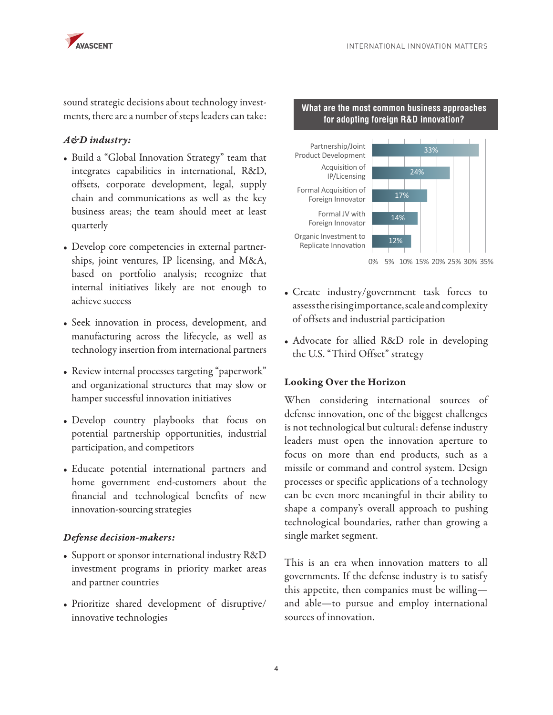

sound strategic decisions about technology investments, there are a number of steps leaders can take:

### *A&D industry:*

- Build a "Global Innovation Strategy" team that integrates capabilities in international, R&D, offsets, corporate development, legal, supply chain and communications as well as the key business areas; the team should meet at least quarterly
- Develop core competencies in external partnerships, joint ventures, IP licensing, and M&A, based on portfolio analysis; recognize that internal initiatives likely are not enough to achieve success
- Seek innovation in process, development, and manufacturing across the lifecycle, as well as technology insertion from international partners
- Review internal processes targeting "paperwork" and organizational structures that may slow or hamper successful innovation initiatives
- Develop country playbooks that focus on potential partnership opportunities, industrial participation, and competitors
- Educate potential international partners and home government end-customers about the financial and technological benefits of new innovation-sourcing strategies

#### *Defense decision-makers:*

- Support or sponsor international industry R&D investment programs in priority market areas and partner countries
- Prioritize shared development of disruptive/ innovative technologies



**What are the most common business approaches for adopting foreign R&D innovation?**

0% 5% 10% 15% 20% 25% 30% 35%

- Create industry/government task forces to assess the rising importance, scale and complexity of offsets and industrial participation
- Advocate for allied R&D role in developing the U.S. "Third Offset" strategy

#### Looking Over the Horizon

When considering international sources of defense innovation, one of the biggest challenges is not technological but cultural: defense industry leaders must open the innovation aperture to focus on more than end products, such as a missile or command and control system. Design processes or specific applications of a technology can be even more meaningful in their ability to shape a company's overall approach to pushing technological boundaries, rather than growing a single market segment.

This is an era when innovation matters to all governments. If the defense industry is to satisfy this appetite, then companies must be willing and able—to pursue and employ international sources of innovation.